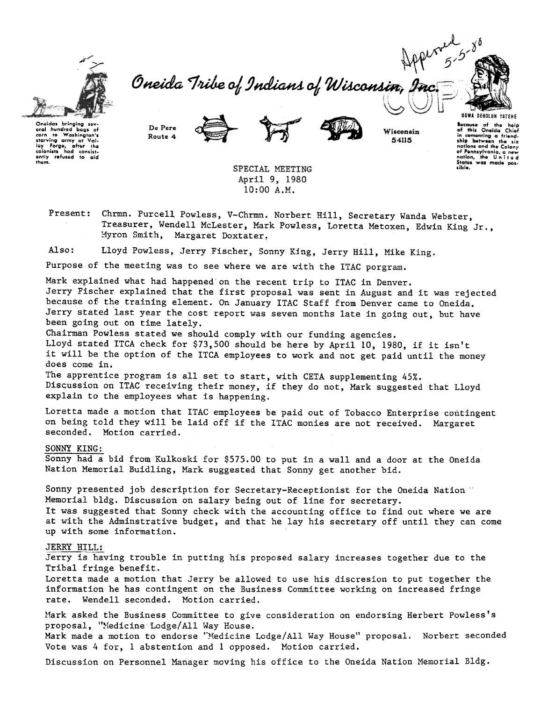

Oneida Tribe of Indians of Wisconsin,



Oneidas bringing sev eral hundred baas of hunarea passe :<br>to Washington's<br>ina army at Val-For the Washington's<br>traving army at Valley Forge, after the<br>colonists had consisted<br>only refused to aid<br>them.





Wisconsin 54115

Because of the help<br>of this Oneida Chief in comenting a friend-<br>ship between the six nations and the Colony of Pennsylvania, a new<br>nation, the United<br>States was made possible.

SPECIAL MEETING April 9, 1980  $10:00 A.M.$ 

Present: Chrmn. Purcell Powless, V-Chrmn. Norbert Hill, Secretary Wanda Webster, Treasurer, Wendell McLester, Mark Powless, Loretta Metoxen, Edwin King Jr., Myron Smith, Margaret Doxtater,

Also: Lloyd Powless, Jerry Fischer, Sonny King, Jerry Hill, Mike King.

Purpose of the meeting was to see where we are with the ITAC porgram.

Mark explained what had happened on the recent trip to ITAC in Denver.

Jerry Fischer explained that the first proposal was sent in August and it was rejected because of the training element. On January ITAC Staff from Denver came to Oneida. Jerry stated last year the cost report was seven months late in going out, but have been going out on time lately.

Chairman Powless stated we should comply with our funding agencies.

Lloyd stated ITCA check for \$73,500 should be here by April 10, 1980, if it isn't it will be the option of the ITCA employees to work and not get paid until the money does come in.

The apprentice program is all set to start, with CETA supplementing 45%. Discussion on ITAC receiving their money, if they do not, Mark suggested that Lloyd explain to the employees what is happening.

Loretta made a motion that ITAC employees be paid out of Tobacco Enterprise contingent on being told they will be laid off if the ITAC monies are not received. Margaret seconded. Motion carried.

## SONNY KING:

Sonny had a bid from Kulkoski for \$575.00 to put in a wall and a door at the Oneida Nation Memorial Buidling, Mark suggested that Sonny get another bid.

Sonny presented job description for Secretary-Receptionist for the Oneida Nation " Memorial bldg. Discussion on salary being out of line for secretary. It was suggested that Sonny check with the accounting office to find out where we are at with the Adminstrative budget, and that he lay his secretary off until they can come up with some information.

## JERRY HILL:

Jerry is having trouble in putting his proposed salary increases together due to the Tribal fringe benefit.

Loretta made a motion that Jerry be allowed to use his discresion to put together the information he has contingent on the Business Committee working on increased fringe rate. Wendell seconded. Motion carried.

Mark asked the Business Committee to give consideration on endorsing Herbert Powless's proposal, "Medicine Lodge/All Way House. Mark made a motion to endorse "Medicine Lodge/All Way House" proposal. Norbert seconded Vote was 4 for, 1 abstention and 1 opposed. Motion carried.

Discussion on Personnel Manager moving his office to the Oneida Nation Memorial Bldg.